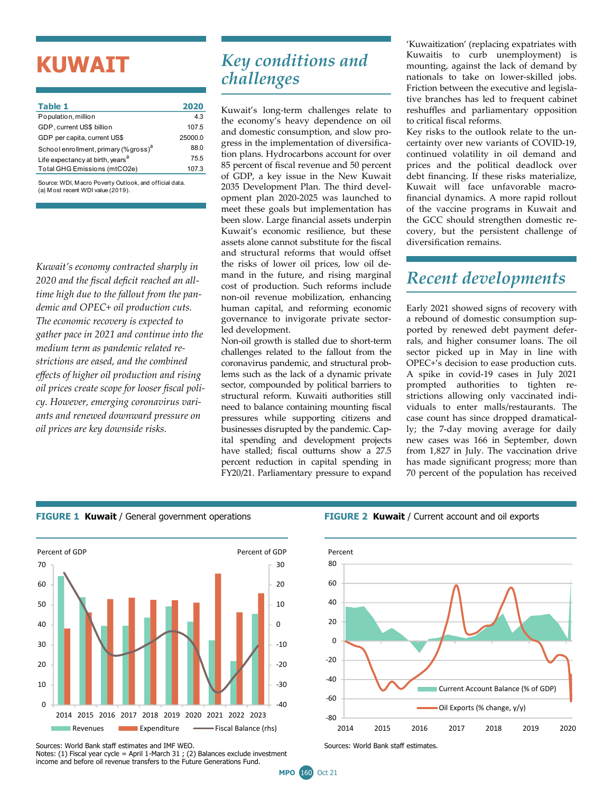# **KUWAIT**

| Table 1                                           | 2020    |
|---------------------------------------------------|---------|
| Population, million                               | 4.3     |
| GDP, current US\$ billion                         | 107.5   |
| GDP per capita, current US\$                      | 25000.0 |
| School enrollment, primary (% gross) <sup>a</sup> | 88.0    |
| Life expectancy at birth, years <sup>a</sup>      | 75.5    |
| Total GHG Emissions (mtCO2e)                      | 107.3   |
|                                                   |         |

Source: WDI, M acro Poverty Outlook, and official data. (a) M ost recent WDI value (2019).

*Kuwait's economy contracted sharply in 2020 and the fiscal deficit reached an alltime high due to the fallout from the pandemic and OPEC+ oil production cuts. The economic recovery is expected to gather pace in 2021 and continue into the medium term as pandemic related restrictions are eased, and the combined effects of higher oil production and rising oil prices create scope for looser fiscal policy. However, emerging coronavirus variants and renewed downward pressure on oil prices are key downside risks.* 

## *Key conditions and challenges*

Kuwait's long-term challenges relate to the economy's heavy dependence on oil and domestic consumption, and slow progress in the implementation of diversification plans. Hydrocarbons account for over 85 percent of fiscal revenue and 50 percent of GDP, a key issue in the New Kuwait 2035 Development Plan. The third development plan 2020-2025 was launched to meet these goals but implementation has been slow. Large financial assets underpin Kuwait's economic resilience, but these assets alone cannot substitute for the fiscal and structural reforms that would offset the risks of lower oil prices, low oil demand in the future, and rising marginal cost of production. Such reforms include non-oil revenue mobilization, enhancing human capital, and reforming economic governance to invigorate private sectorled development.

Non-oil growth is stalled due to short-term challenges related to the fallout from the coronavirus pandemic, and structural problems such as the lack of a dynamic private sector, compounded by political barriers to structural reform. Kuwaiti authorities still need to balance containing mounting fiscal pressures while supporting citizens and businesses disrupted by the pandemic. Capital spending and development projects have stalled; fiscal outturns show a 27.5 percent reduction in capital spending in FY20/21. Parliamentary pressure to expand

'Kuwaitization' (replacing expatriates with Kuwaitis to curb unemployment) is mounting, against the lack of demand by nationals to take on lower-skilled jobs. Friction between the executive and legislative branches has led to frequent cabinet reshuffles and parliamentary opposition to critical fiscal reforms.

Key risks to the outlook relate to the uncertainty over new variants of COVID-19, continued volatility in oil demand and prices and the political deadlock over debt financing. If these risks materialize, Kuwait will face unfavorable macrofinancial dynamics. A more rapid rollout of the vaccine programs in Kuwait and the GCC should strengthen domestic recovery, but the persistent challenge of diversification remains.

# *Recent developments*

Early 2021 showed signs of recovery with a rebound of domestic consumption supported by renewed debt payment deferrals, and higher consumer loans. The oil sector picked up in May in line with OPEC+'s decision to ease production cuts. A spike in covid-19 cases in July 2021 prompted authorities to tighten restrictions allowing only vaccinated individuals to enter malls/restaurants. The case count has since dropped dramatically; the 7-day moving average for daily new cases was 166 in September, down from 1,827 in July. The vaccination drive has made significant progress; more than 70 percent of the population has received

#### **FIGURE 1 Kuwait** / General government operations **FIGURE 2 Kuwait** / Current account and oil exports





Notes: (1) Fiscal year cycle = April 1-March 31 ; (2) Balances exclude investment income and before oil revenue transfers to the Future Generations Fund.

Sources: World Bank staff estimates and IMF WEO.